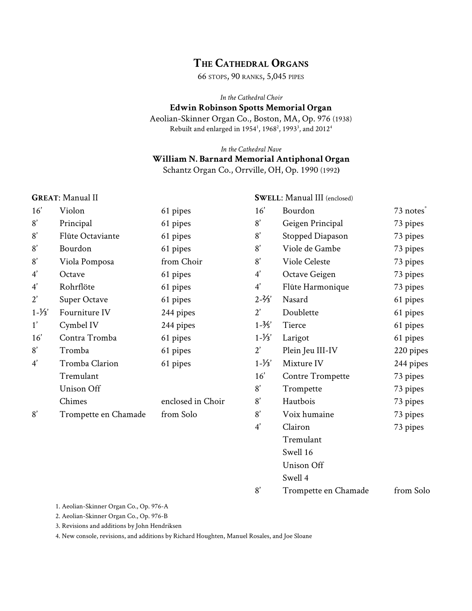# **THE CATHEDRAL ORGANS**

66 STOPS, 90 RANKS, 5,045 PIPES

*In the Cathedral Choir*

#### **Edwin Robinson Spotts Memorial Organ**

Aeolian-Skinner Organ Co., Boston, MA, Op. 976 (1938) Rebuilt and enlarged in 1954<sup>1</sup>, 1968<sup>2</sup>, 1993<sup>3</sup>, and 2012<sup>4</sup>

*In the Cathedral Nave*

#### **William N. Barnard Memorial Antiphonal Organ**

Schantz Organ Co., Orrville, OH, Op. 1990 (1992**)**

Swell 4

8' Trompette en Chamade

73 notes<sup>\*</sup> 73 pipes 73 pipes 73 pipes 73 pipes 73 pipes 73 pipes 61 pipes 61 pipes 61 pipes 61 pipes 220 pipes 244 pipes 73 pipes 73 pipes 73 pipes 73 pipes 73 pipes

from Solo

| <b>GREAT: Manual II</b> |                      |                   | <b>SWELL:</b> Manual III (enclosed) |                         |
|-------------------------|----------------------|-------------------|-------------------------------------|-------------------------|
| 16'                     | Violon               | 61 pipes          | 16'                                 | Bourdon                 |
| 8'                      | Principal            | 61 pipes          | 8'                                  | Geigen Principal        |
| 8'                      | Flûte Octaviante     | 61 pipes          | 8'                                  | Stopped Diapason        |
| 8'                      | Bourdon              | 61 pipes          | 8'                                  | Viole de Gambe          |
| 8'                      | Viola Pomposa        | from Choir        | 8'                                  | <b>Viole Celeste</b>    |
| 4'                      | Octave               | 61 pipes          | 4'                                  | Octave Geigen           |
| $\boldsymbol{4}'$       | Rohrflöte            | 61 pipes          | 4'                                  | Flûte Harmonique        |
| $2^{\prime}$            | Super Octave         | 61 pipes          | $2 - \frac{2}{3}$                   | Nasard                  |
| $1 - \frac{1}{3}$       | Fourniture IV        | 244 pipes         | $2^{\prime}$                        | Doublette               |
| 1'                      | Cymbel IV            | 244 pipes         | $1 - \frac{3}{5}$                   | Tierce                  |
| 16'                     | Contra Tromba        | 61 pipes          | $1 - \frac{1}{3}$                   | Larigot                 |
| 8'                      | Tromba               | 61 pipes          | $2^{\prime}$                        | Plein Jeu III-IV        |
| $\boldsymbol{4'}$       | Tromba Clarion       | 61 pipes          | $1 - \frac{1}{3}$                   | Mixture IV              |
|                         | Tremulant            |                   | 16'                                 | <b>Contre Trompette</b> |
|                         | Unison Off           |                   | 8'                                  | Trompette               |
|                         | Chimes               | enclosed in Choir | 8'                                  | Hautbois                |
| 8'                      | Trompette en Chamade | from Solo         | 8'                                  | Voix humaine            |
|                         |                      |                   | 4'                                  | Clairon                 |
|                         |                      |                   |                                     | Tremulant               |
|                         |                      |                   |                                     | Swell 16                |
|                         |                      |                   |                                     | Unison Off              |

1. Aeolian-Skinner Organ Co., Op. 976-A

2. Aeolian-Skinner Organ Co., Op. 976-B

3. Revisions and additions by John Hendriksen

4. New console, revisions, and additions by Richard Houghten, Manuel Rosales, and Joe Sloane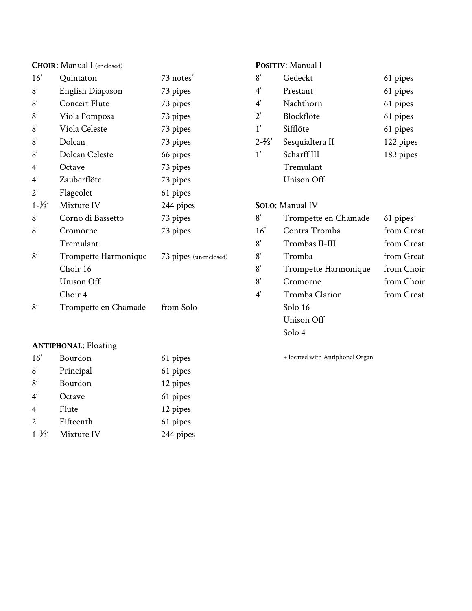**CHOIR:** Manual I (enclosed)

| 16'               | Quintaton            | 73 notes              |
|-------------------|----------------------|-----------------------|
| 8'                | English Diapason     | 73 pipes              |
| 8'                | <b>Concert Flute</b> | 73 pipes              |
| 8'                | Viola Pomposa        | 73 pipes              |
| 8'                | Viola Celeste        | 73 pipes              |
| 8'                | Dolcan               | 73 pipes              |
| 8'                | Dolcan Celeste       | 66 pipes              |
| 4'                | Octave               | 73 pipes              |
| $\boldsymbol{4'}$ | Zauberflöte          | 73 pipes              |
| $2^{\prime}$      | Flageolet            | 61 pipes              |
| $1 - \frac{1}{3}$ | Mixture IV           | 244 pipes             |
| 8'                | Corno di Bassetto    | 73 pipes              |
| 8'                | Cromorne             | 73 pipes              |
|                   | Tremulant            |                       |
| 8'                | Trompette Harmonique | 73 pipes (unenclosed) |
|                   | Choir 16             |                       |
|                   | Unison Off           |                       |
|                   | Choir 4              |                       |
| 8'                | Trompette en Chamade | from Solo             |

## **ANTIPHONAL:** Floating

| 16'               | Bourdon    | 61 pipes  |
|-------------------|------------|-----------|
| 8'                | Principal  | 61 pipes  |
| 8'                | Bourdon    | 12 pipes  |
| $\overline{4}$    | Octave     | 61 pipes  |
| $\overline{4}$    | Flute      | 12 pipes  |
| $2^{\prime}$      | Fifteenth  | 61 pipes  |
| $1 - \frac{1}{3}$ | Mixture IV | 244 pipes |

## **POSITIV:** Manual I

| 8'                | Gedeckt         | 61 pipes  |
|-------------------|-----------------|-----------|
| $\boldsymbol{4}'$ | Prestant        | 61 pipes  |
| $\overline{4}$    | Nachthorn       | 61 pipes  |
| 2'                | Blockflöte      | 61 pipes  |
| 1'                | Sifflöte        | 61 pipes  |
| $2 - 3/3$         | Sesquialtera II | 122 pipes |
| 1'                | Scharff III     | 183 pipes |
|                   | Tremulant       |           |
|                   | Unison Off      |           |
|                   |                 |           |

## **SOLO**: Manual IV

| $\mathbf{R}'$ | Trompette en Chamade | $61$ pipes <sup>+</sup> |
|---------------|----------------------|-------------------------|
| 16'           | Contra Tromba        | from Great              |
| 8'            | Trombas II-III       | from Great              |
| 8'            | Tromba               | from Great              |
| 8'            | Trompette Harmonique | from Choir              |
| 8'            | Cromorne             | from Choir              |
| 4'            | Tromba Clarion       | from Great              |
|               | Solo 16              |                         |
|               | Unison Off           |                         |
|               | Solo 4               |                         |

+ located with Antiphonal Organ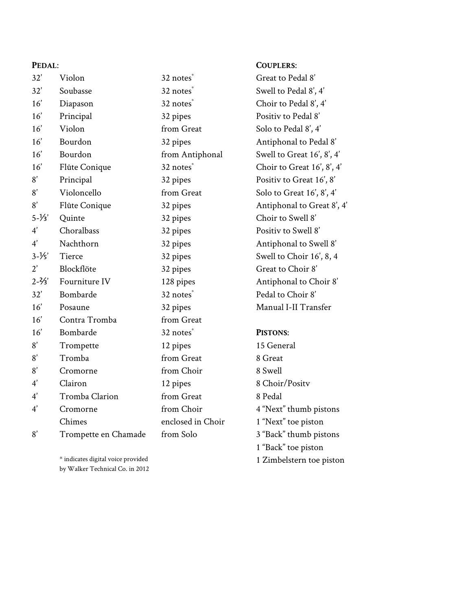| PEDAL:            |                      |                       | <b>COUPLERS:</b>         |
|-------------------|----------------------|-----------------------|--------------------------|
| 32'               | Violon               | 32 notes              | Great to Pedal 8'        |
| 32'               | Soubasse             | 32 notes <sup>*</sup> | Swell to Pedal 8', 4'    |
| 16'               | Diapason             | 32 notes <sup>*</sup> | Choir to Pedal 8', 4'    |
| 16'               | Principal            | 32 pipes              | Positiv to Pedal 8'      |
| 16'               | Violon               | from Great            | Solo to Pedal 8', 4'     |
| 16'               | Bourdon              | 32 pipes              | Antiphonal to Pedal 8    |
| 16'               | Bourdon              | from Antiphonal       | Swell to Great 16', 8',  |
| 16'               | Flûte Conique        | 32 notes <sup>*</sup> | Choir to Great 16', 8',  |
| 8'                | Principal            | 32 pipes              | Positiv to Great 16', 8' |
| 8'                | Violoncello          | from Great            | Solo to Great 16', 8', 4 |
| 8'                | Flûte Conique        | 32 pipes              | Antiphonal to Great 8    |
| $5 - \frac{1}{3}$ | Quinte               | 32 pipes              | Choir to Swell 8'        |
| 4'                | Choralbass           | 32 pipes              | Positiv to Swell 8'      |
| 4'                | Nachthorn            | 32 pipes              | Antiphonal to Swell 8    |
| $3 - 1/5'$        | Tierce               | 32 pipes              | Swell to Choir 16', 8,   |
| $2^{\prime}$      | Blockflöte           | 32 pipes              | Great to Choir 8'        |
| $2 - 3/3$         | Fourniture IV        | 128 pipes             | Antiphonal to Choir 8    |
| 32'               | Bombarde             | 32 notes <sup>*</sup> | Pedal to Choir 8'        |
| 16'               | Posaune              | 32 pipes              | Manual I-II Transfer     |
| 16'               | Contra Tromba        | from Great            |                          |
| 16'               | Bombarde             | 32 notes <sup>*</sup> | <b>PISTONS:</b>          |
| 8'                | Trompette            | 12 pipes              | 15 General               |
| 8'                | Tromba               | from Great            | 8 Great                  |
| 8'                | Cromorne             | from Choir            | 8 Swell                  |
| 4'                | Clairon              | 12 pipes              | 8 Choir/Posity           |
| 4'                | Tromba Clarion       | from Great            | 8 Pedal                  |
| 4'                | Cromorne             | from Choir            | 4 "Next" thumb piston    |
|                   | Chimes               | enclosed in Choir     | 1 "Next" toe piston      |
| 8'                | Trompette en Chamade | from Solo             | 3 "Back" thumb piston    |
|                   |                      |                       |                          |

 $^\ast$  indicates digital voice provided by Walker Technical Co. in 2012

Antiphonal to Pedal 8' Swell to Great 16', 8', 4'  $4'$ Positiv to Great 16', 8' Solo to Great 16', 8', 4'  $\beta', 4'$ Antiphonal to Swell 8' Swell to Choir 16', 8, 4 Antiphonal to Choir 8'

ns 3 "Back" thumb pistons 1 "Back" toe piston 1 Zimbelstern toe piston